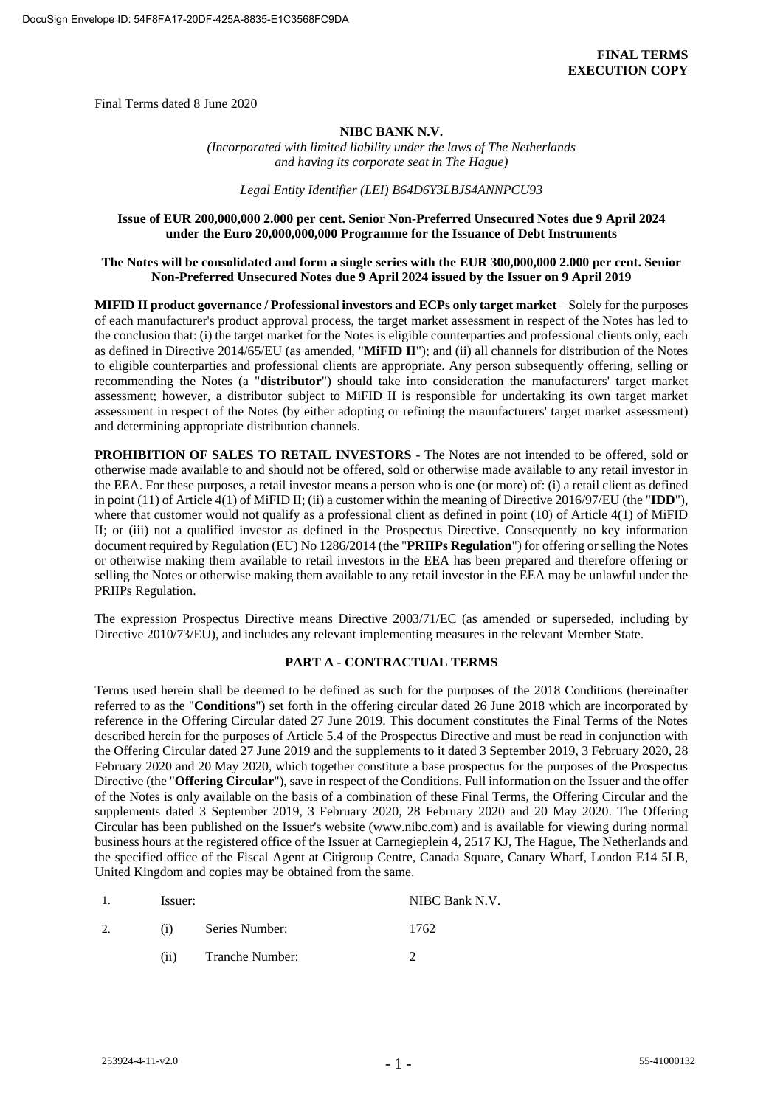Final Terms dated 8 June 2020

### **NIBC BANK N.V.**

*(Incorporated with limited liability under the laws of The Netherlands and having its corporate seat in The Hague)*

*Legal Entity Identifier (LEI) B64D6Y3LBJS4ANNPCU93*

### **Issue of EUR 200,000,000 2.000 per cent. Senior Non-Preferred Unsecured Notes due 9 April 2024 under the Euro 20,000,000,000 Programme for the Issuance of Debt Instruments**

### **The Notes will be consolidated and form a single series with the EUR 300,000,000 2.000 per cent. Senior Non-Preferred Unsecured Notes due 9 April 2024 issued by the Issuer on 9 April 2019**

**MIFID II product governance / Professional investors and ECPs only target market** – Solely for the purposes of each manufacturer's product approval process, the target market assessment in respect of the Notes has led to the conclusion that: (i) the target market for the Notes is eligible counterparties and professional clients only, each as defined in Directive 2014/65/EU (as amended, "**MiFID II**"); and (ii) all channels for distribution of the Notes to eligible counterparties and professional clients are appropriate. Any person subsequently offering, selling or recommending the Notes (a "**distributor**") should take into consideration the manufacturers' target market assessment; however, a distributor subject to MiFID II is responsible for undertaking its own target market assessment in respect of the Notes (by either adopting or refining the manufacturers' target market assessment) and determining appropriate distribution channels.

**PROHIBITION OF SALES TO RETAIL INVESTORS** - The Notes are not intended to be offered, sold or otherwise made available to and should not be offered, sold or otherwise made available to any retail investor in the EEA. For these purposes, a retail investor means a person who is one (or more) of: (i) a retail client as defined in point (11) of Article 4(1) of MiFID II; (ii) a customer within the meaning of Directive 2016/97/EU (the "**IDD**"), where that customer would not qualify as a professional client as defined in point (10) of Article 4(1) of MiFID II; or (iii) not a qualified investor as defined in the Prospectus Directive. Consequently no key information document required by Regulation (EU) No 1286/2014 (the "**PRIIPs Regulation**") for offering or selling the Notes or otherwise making them available to retail investors in the EEA has been prepared and therefore offering or selling the Notes or otherwise making them available to any retail investor in the EEA may be unlawful under the PRIIPs Regulation.

The expression Prospectus Directive means Directive 2003/71/EC (as amended or superseded, including by Directive 2010/73/EU), and includes any relevant implementing measures in the relevant Member State.

#### **PART A - CONTRACTUAL TERMS**

Terms used herein shall be deemed to be defined as such for the purposes of the 2018 Conditions (hereinafter referred to as the "**Conditions**") set forth in the offering circular dated 26 June 2018 which are incorporated by reference in the Offering Circular dated 27 June 2019. This document constitutes the Final Terms of the Notes described herein for the purposes of Article 5.4 of the Prospectus Directive and must be read in conjunction with the Offering Circular dated 27 June 2019 and the supplements to it dated 3 September 2019, 3 February 2020, 28 February 2020 and 20 May 2020, which together constitute a base prospectus for the purposes of the Prospectus Directive (the "**Offering Circular**"), save in respect of the Conditions. Full information on the Issuer and the offer of the Notes is only available on the basis of a combination of these Final Terms, the Offering Circular and the supplements dated 3 September 2019, 3 February 2020, 28 February 2020 and 20 May 2020. The Offering Circular has been published on the Issuer's website (www.nibc.com) and is available for viewing during normal business hours at the registered office of the Issuer at Carnegieplein 4, 2517 KJ, The Hague, The Netherlands and the specified office of the Fiscal Agent at Citigroup Centre, Canada Square, Canary Wharf, London E14 5LB, United Kingdom and copies may be obtained from the same.

| $\mathbf{1}$ . | Issuer: |                 | NIBC Bank N.V. |
|----------------|---------|-----------------|----------------|
|                | (i)     | Series Number:  | 1762           |
|                | (i)     | Tranche Number: |                |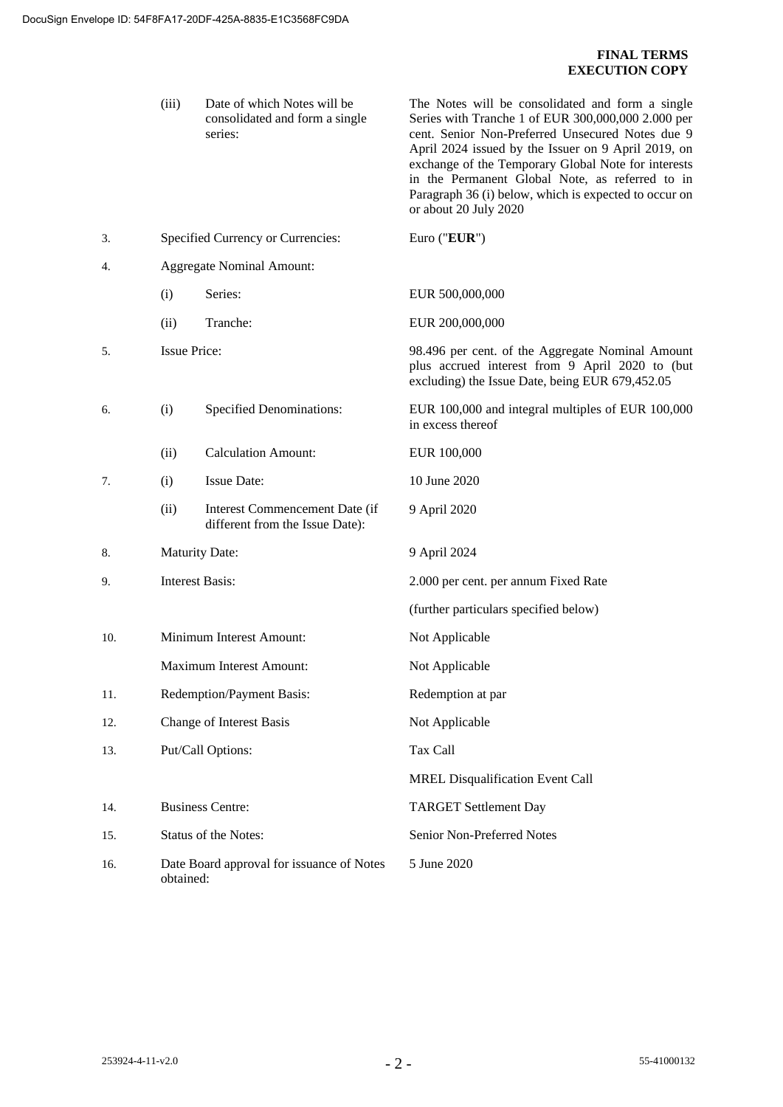# **FINAL TERMS EXECUTION COPY**

|     | (iii)                                                  | Date of which Notes will be<br>consolidated and form a single<br>series: | The Notes will be consolidated and form a single<br>Series with Tranche 1 of EUR 300,000,000 2.000 per<br>cent. Senior Non-Preferred Unsecured Notes due 9<br>April 2024 issued by the Issuer on 9 April 2019, on<br>exchange of the Temporary Global Note for interests<br>in the Permanent Global Note, as referred to in<br>Paragraph 36 (i) below, which is expected to occur on<br>or about 20 July 2020 |
|-----|--------------------------------------------------------|--------------------------------------------------------------------------|---------------------------------------------------------------------------------------------------------------------------------------------------------------------------------------------------------------------------------------------------------------------------------------------------------------------------------------------------------------------------------------------------------------|
| 3.  |                                                        | Specified Currency or Currencies:                                        | Euro ("EUR")                                                                                                                                                                                                                                                                                                                                                                                                  |
| 4.  |                                                        | <b>Aggregate Nominal Amount:</b>                                         |                                                                                                                                                                                                                                                                                                                                                                                                               |
|     | (i)                                                    | Series:                                                                  | EUR 500,000,000                                                                                                                                                                                                                                                                                                                                                                                               |
|     | (ii)                                                   | Tranche:                                                                 | EUR 200,000,000                                                                                                                                                                                                                                                                                                                                                                                               |
| 5.  | <b>Issue Price:</b>                                    |                                                                          | 98.496 per cent. of the Aggregate Nominal Amount<br>plus accrued interest from 9 April 2020 to (but<br>excluding) the Issue Date, being EUR 679,452.05                                                                                                                                                                                                                                                        |
| 6.  | (i)                                                    | <b>Specified Denominations:</b>                                          | EUR 100,000 and integral multiples of EUR 100,000<br>in excess thereof                                                                                                                                                                                                                                                                                                                                        |
|     | (ii)                                                   | <b>Calculation Amount:</b>                                               | EUR 100,000                                                                                                                                                                                                                                                                                                                                                                                                   |
| 7.  | (i)                                                    | <b>Issue Date:</b>                                                       | 10 June 2020                                                                                                                                                                                                                                                                                                                                                                                                  |
|     | (ii)                                                   | Interest Commencement Date (if<br>different from the Issue Date):        | 9 April 2020                                                                                                                                                                                                                                                                                                                                                                                                  |
| 8.  |                                                        | <b>Maturity Date:</b>                                                    | 9 April 2024                                                                                                                                                                                                                                                                                                                                                                                                  |
| 9.  | <b>Interest Basis:</b>                                 |                                                                          | 2.000 per cent. per annum Fixed Rate                                                                                                                                                                                                                                                                                                                                                                          |
|     |                                                        |                                                                          | (further particulars specified below)                                                                                                                                                                                                                                                                                                                                                                         |
| 10. |                                                        | Minimum Interest Amount:                                                 | Not Applicable                                                                                                                                                                                                                                                                                                                                                                                                |
|     |                                                        | Maximum Interest Amount:                                                 | Not Applicable                                                                                                                                                                                                                                                                                                                                                                                                |
| 11. |                                                        | Redemption/Payment Basis:                                                | Redemption at par                                                                                                                                                                                                                                                                                                                                                                                             |
| 12. |                                                        | Change of Interest Basis                                                 | Not Applicable                                                                                                                                                                                                                                                                                                                                                                                                |
| 13. |                                                        | Put/Call Options:                                                        | Tax Call                                                                                                                                                                                                                                                                                                                                                                                                      |
|     |                                                        |                                                                          | <b>MREL Disqualification Event Call</b>                                                                                                                                                                                                                                                                                                                                                                       |
| 14. | <b>Business Centre:</b>                                |                                                                          | <b>TARGET Settlement Day</b>                                                                                                                                                                                                                                                                                                                                                                                  |
| 15. |                                                        | Status of the Notes:                                                     | Senior Non-Preferred Notes                                                                                                                                                                                                                                                                                                                                                                                    |
| 16. | Date Board approval for issuance of Notes<br>obtained: |                                                                          | 5 June 2020                                                                                                                                                                                                                                                                                                                                                                                                   |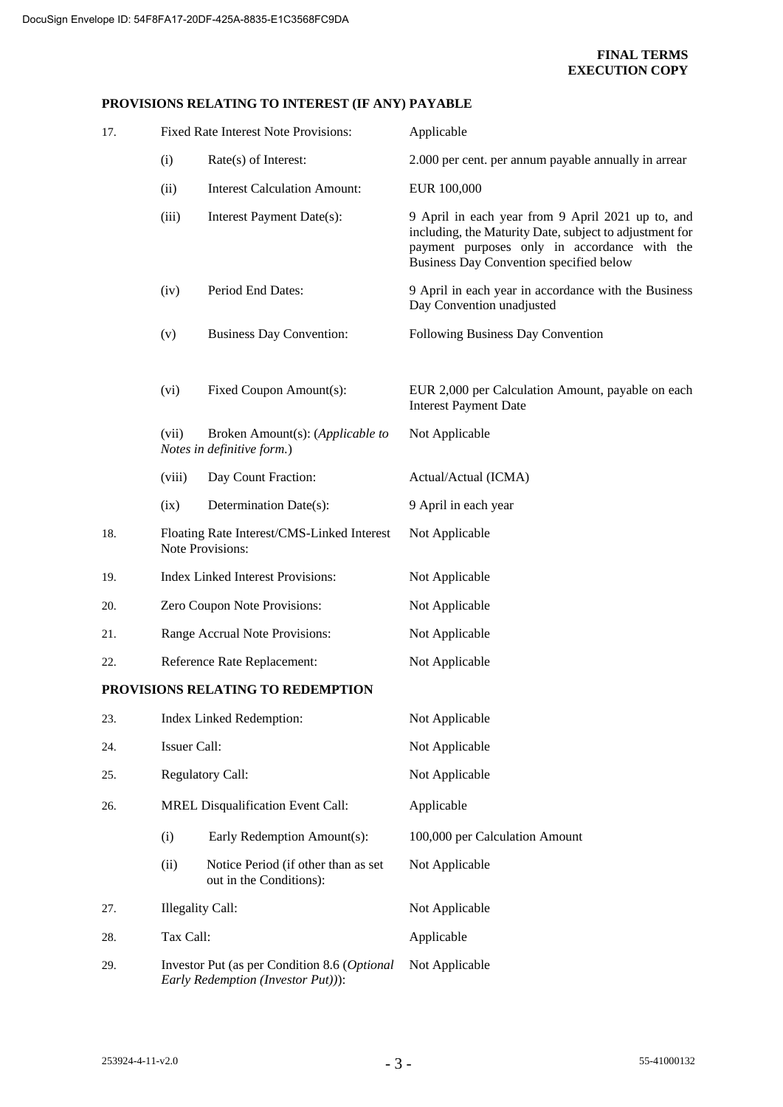## **PROVISIONS RELATING TO INTEREST (IF ANY) PAYABLE**

| 17. |                                                                                    | Fixed Rate Interest Note Provisions:                           | Applicable                                                                                                                                                                                              |
|-----|------------------------------------------------------------------------------------|----------------------------------------------------------------|---------------------------------------------------------------------------------------------------------------------------------------------------------------------------------------------------------|
|     | (i)                                                                                | Rate(s) of Interest:                                           | 2.000 per cent. per annum payable annually in arrear                                                                                                                                                    |
|     | (ii)                                                                               | <b>Interest Calculation Amount:</b>                            | EUR 100,000                                                                                                                                                                                             |
|     | (iii)                                                                              | Interest Payment Date(s):                                      | 9 April in each year from 9 April 2021 up to, and<br>including, the Maturity Date, subject to adjustment for<br>payment purposes only in accordance with the<br>Business Day Convention specified below |
|     | (iv)                                                                               | Period End Dates:                                              | 9 April in each year in accordance with the Business<br>Day Convention unadjusted                                                                                                                       |
|     | (v)                                                                                | <b>Business Day Convention:</b>                                | Following Business Day Convention                                                                                                                                                                       |
|     | (vi)                                                                               | Fixed Coupon Amount(s):                                        | EUR 2,000 per Calculation Amount, payable on each<br><b>Interest Payment Date</b>                                                                                                                       |
|     | (vii)                                                                              | Broken Amount(s): (Applicable to<br>Notes in definitive form.) | Not Applicable                                                                                                                                                                                          |
|     | (viii)                                                                             | Day Count Fraction:                                            | Actual/Actual (ICMA)                                                                                                                                                                                    |
|     | (ix)                                                                               | Determination Date(s):                                         | 9 April in each year                                                                                                                                                                                    |
| 18. |                                                                                    | Floating Rate Interest/CMS-Linked Interest<br>Note Provisions: | Not Applicable                                                                                                                                                                                          |
| 19. | <b>Index Linked Interest Provisions:</b>                                           |                                                                | Not Applicable                                                                                                                                                                                          |
| 20. | Zero Coupon Note Provisions:                                                       |                                                                | Not Applicable                                                                                                                                                                                          |
| 21. | Range Accrual Note Provisions:                                                     |                                                                | Not Applicable                                                                                                                                                                                          |
| 22. | Reference Rate Replacement:                                                        |                                                                | Not Applicable                                                                                                                                                                                          |
|     |                                                                                    | PROVISIONS RELATING TO REDEMPTION                              |                                                                                                                                                                                                         |
| 23. | Index Linked Redemption:                                                           |                                                                | Not Applicable                                                                                                                                                                                          |
| 24. | <b>Issuer Call:</b>                                                                |                                                                | Not Applicable                                                                                                                                                                                          |
| 25. | <b>Regulatory Call:</b>                                                            |                                                                | Not Applicable                                                                                                                                                                                          |
| 26. |                                                                                    | MREL Disqualification Event Call:                              | Applicable                                                                                                                                                                                              |
|     | (i)                                                                                | Early Redemption Amount(s):                                    | 100,000 per Calculation Amount                                                                                                                                                                          |
|     | (ii)                                                                               | Notice Period (if other than as set<br>out in the Conditions): | Not Applicable                                                                                                                                                                                          |
| 27. | <b>Illegality Call:</b>                                                            |                                                                | Not Applicable                                                                                                                                                                                          |
| 28. | Tax Call:                                                                          |                                                                | Applicable                                                                                                                                                                                              |
| 29. | Investor Put (as per Condition 8.6 (Optional<br>Early Redemption (Investor Put))): |                                                                | Not Applicable                                                                                                                                                                                          |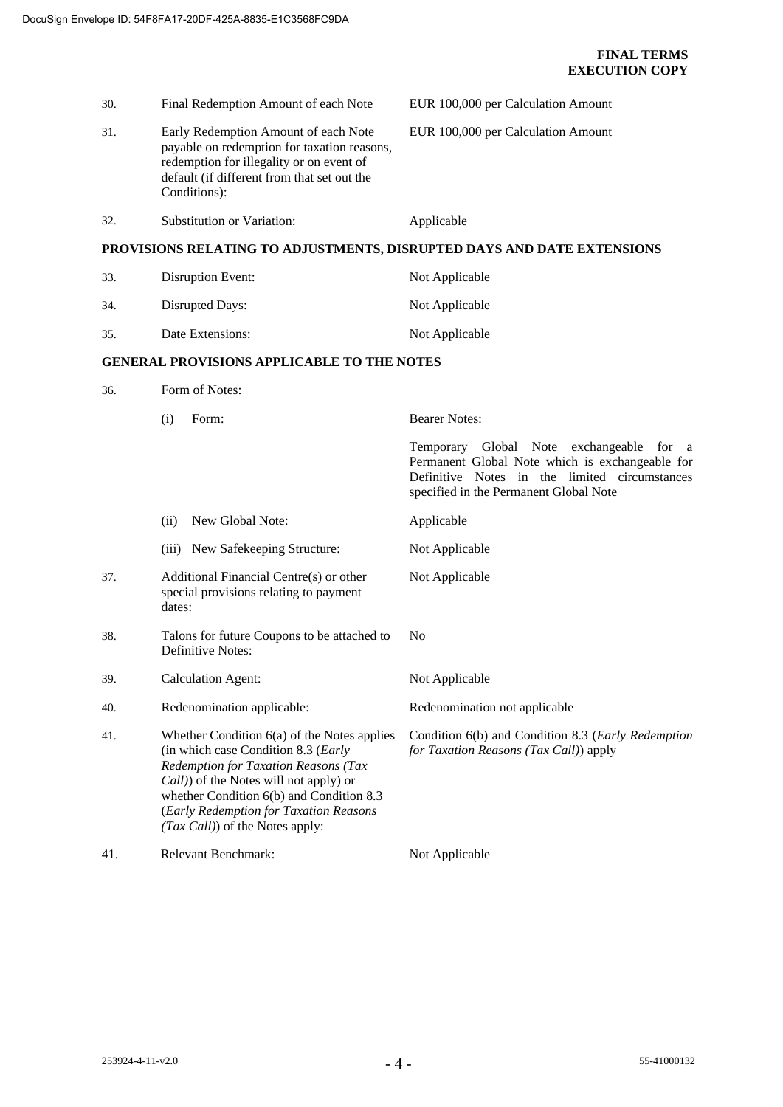| 30. | Final Redemption Amount of each Note                                                                                                                                                                                                                                                                   | EUR 100,000 per Calculation Amount                                                                                                                                                                      |  |
|-----|--------------------------------------------------------------------------------------------------------------------------------------------------------------------------------------------------------------------------------------------------------------------------------------------------------|---------------------------------------------------------------------------------------------------------------------------------------------------------------------------------------------------------|--|
| 31. | Early Redemption Amount of each Note<br>payable on redemption for taxation reasons,<br>redemption for illegality or on event of<br>default (if different from that set out the<br>Conditions):                                                                                                         | EUR 100,000 per Calculation Amount                                                                                                                                                                      |  |
| 32. | Substitution or Variation:                                                                                                                                                                                                                                                                             | Applicable                                                                                                                                                                                              |  |
|     |                                                                                                                                                                                                                                                                                                        | PROVISIONS RELATING TO ADJUSTMENTS, DISRUPTED DAYS AND DATE EXTENSIONS                                                                                                                                  |  |
| 33. | Disruption Event:                                                                                                                                                                                                                                                                                      | Not Applicable                                                                                                                                                                                          |  |
| 34. | Disrupted Days:                                                                                                                                                                                                                                                                                        | Not Applicable                                                                                                                                                                                          |  |
| 35. | Date Extensions:                                                                                                                                                                                                                                                                                       | Not Applicable                                                                                                                                                                                          |  |
|     | <b>GENERAL PROVISIONS APPLICABLE TO THE NOTES</b>                                                                                                                                                                                                                                                      |                                                                                                                                                                                                         |  |
| 36. | Form of Notes:                                                                                                                                                                                                                                                                                         |                                                                                                                                                                                                         |  |
|     | (i)<br>Form:                                                                                                                                                                                                                                                                                           | <b>Bearer Notes:</b>                                                                                                                                                                                    |  |
|     |                                                                                                                                                                                                                                                                                                        | Temporary Global Note exchangeable<br>for<br><sub>a</sub><br>Permanent Global Note which is exchangeable for<br>Definitive Notes in the limited circumstances<br>specified in the Permanent Global Note |  |
|     | New Global Note:<br>(ii)                                                                                                                                                                                                                                                                               | Applicable                                                                                                                                                                                              |  |
|     | (iii) New Safekeeping Structure:                                                                                                                                                                                                                                                                       | Not Applicable                                                                                                                                                                                          |  |
| 37. | Additional Financial Centre(s) or other<br>special provisions relating to payment<br>dates:                                                                                                                                                                                                            | Not Applicable                                                                                                                                                                                          |  |
| 38. | Talons for future Coupons to be attached to<br>Definitive Notes:                                                                                                                                                                                                                                       | N <sub>0</sub>                                                                                                                                                                                          |  |
| 39. | <b>Calculation Agent:</b>                                                                                                                                                                                                                                                                              | Not Applicable                                                                                                                                                                                          |  |
| 40. | Redenomination applicable:                                                                                                                                                                                                                                                                             | Redenomination not applicable                                                                                                                                                                           |  |
| 41. | Whether Condition $6(a)$ of the Notes applies<br>(in which case Condition 8.3 (Early<br>Redemption for Taxation Reasons (Tax<br><i>Call</i> ) of the Notes will not apply) or<br>whether Condition 6(b) and Condition 8.3<br>(Early Redemption for Taxation Reasons<br>(Tax Call)) of the Notes apply: | Condition 6(b) and Condition 8.3 (Early Redemption<br>for Taxation Reasons (Tax Call)) apply                                                                                                            |  |
| 41. | Relevant Benchmark:                                                                                                                                                                                                                                                                                    | Not Applicable                                                                                                                                                                                          |  |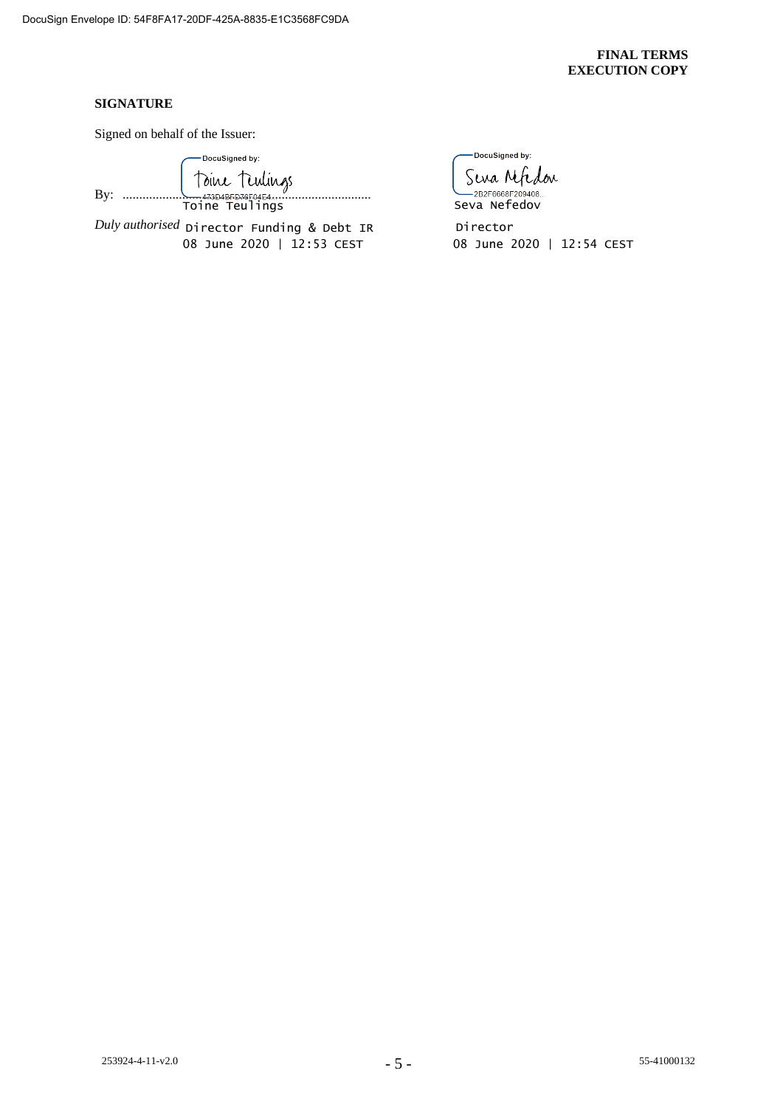### **FINAL TERMS EXECUTION COPY**

### **SIGNATURE**

Signed on behalf of the Issuer:

-DocuSigned by: By: ........................................................................... Toine Teulings

*Duly authorised* Director Funding & Debt IR

-DocuSigned by: Sena Mfedon

E 2B2F6668F209408

08 June 2020 | 12:53 CEST 08 June 2020 | 12:54 CEST Director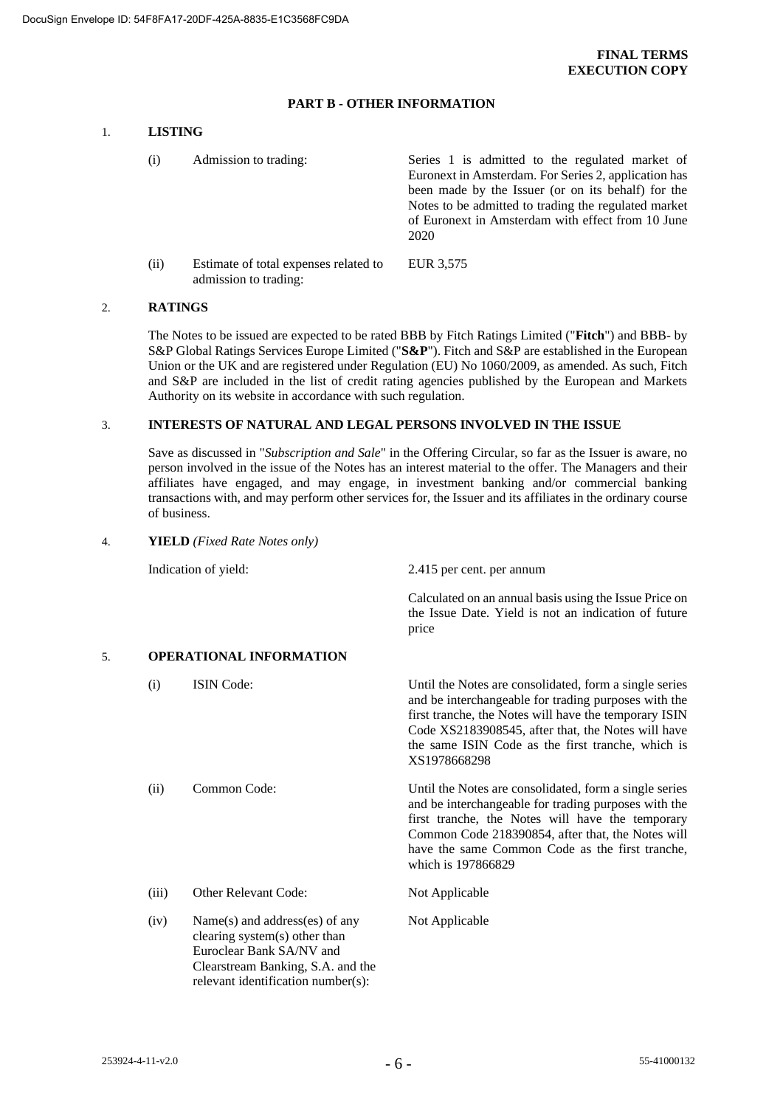#### **PART B - OTHER INFORMATION**

# 1. **LISTING**

(i) Admission to trading: Series 1 is admitted to the regulated market of Euronext in Amsterdam. For Series 2, application has been made by the Issuer (or on its behalf) for the Notes to be admitted to trading the regulated market of Euronext in Amsterdam with effect from 10 June 2020 (ii) Estimate of total expenses related to admission to trading: EUR 3,575

#### 2. **RATINGS**

The Notes to be issued are expected to be rated BBB by Fitch Ratings Limited ("**Fitch**") and BBB- by S&P Global Ratings Services Europe Limited ("**S&P**"). Fitch and S&P are established in the European Union or the UK and are registered under Regulation (EU) No 1060/2009, as amended. As such, Fitch and S&P are included in the list of credit rating agencies published by the European and Markets Authority on its website in accordance with such regulation.

#### 3. **INTERESTS OF NATURAL AND LEGAL PERSONS INVOLVED IN THE ISSUE**

Save as discussed in "*Subscription and Sale*" in the Offering Circular, so far as the Issuer is aware, no person involved in the issue of the Notes has an interest material to the offer. The Managers and their affiliates have engaged, and may engage, in investment banking and/or commercial banking transactions with, and may perform other services for, the Issuer and its affiliates in the ordinary course of business.

#### 4. **YIELD** *(Fixed Rate Notes only)*

Indication of yield: 2.415 per cent. per annum

Calculated on an annual basis using the Issue Price on the Issue Date. Yield is not an indication of future price

## 5. **OPERATIONAL INFORMATION**

Clearstream Banking, S.A. and the relevant identification number(s):

| (i)   | <b>ISIN</b> Code:                                                                           | Until the Notes are consolidated, form a single series<br>and be interchangeable for trading purposes with the<br>first tranche, the Notes will have the temporary ISIN<br>Code XS2183908545, after that, the Notes will have<br>the same ISIN Code as the first tranche, which is<br>XS1978668298 |
|-------|---------------------------------------------------------------------------------------------|----------------------------------------------------------------------------------------------------------------------------------------------------------------------------------------------------------------------------------------------------------------------------------------------------|
| (ii)  | Common Code:                                                                                | Until the Notes are consolidated, form a single series<br>and be interchangeable for trading purposes with the<br>first tranche, the Notes will have the temporary<br>Common Code 218390854, after that, the Notes will<br>have the same Common Code as the first tranche,<br>which is 197866829   |
| (iii) | <b>Other Relevant Code:</b>                                                                 | Not Applicable                                                                                                                                                                                                                                                                                     |
| (iv)  | Name(s) and address(es) of any<br>clearing system(s) other than<br>Euroclear Bank SA/NV and | Not Applicable                                                                                                                                                                                                                                                                                     |